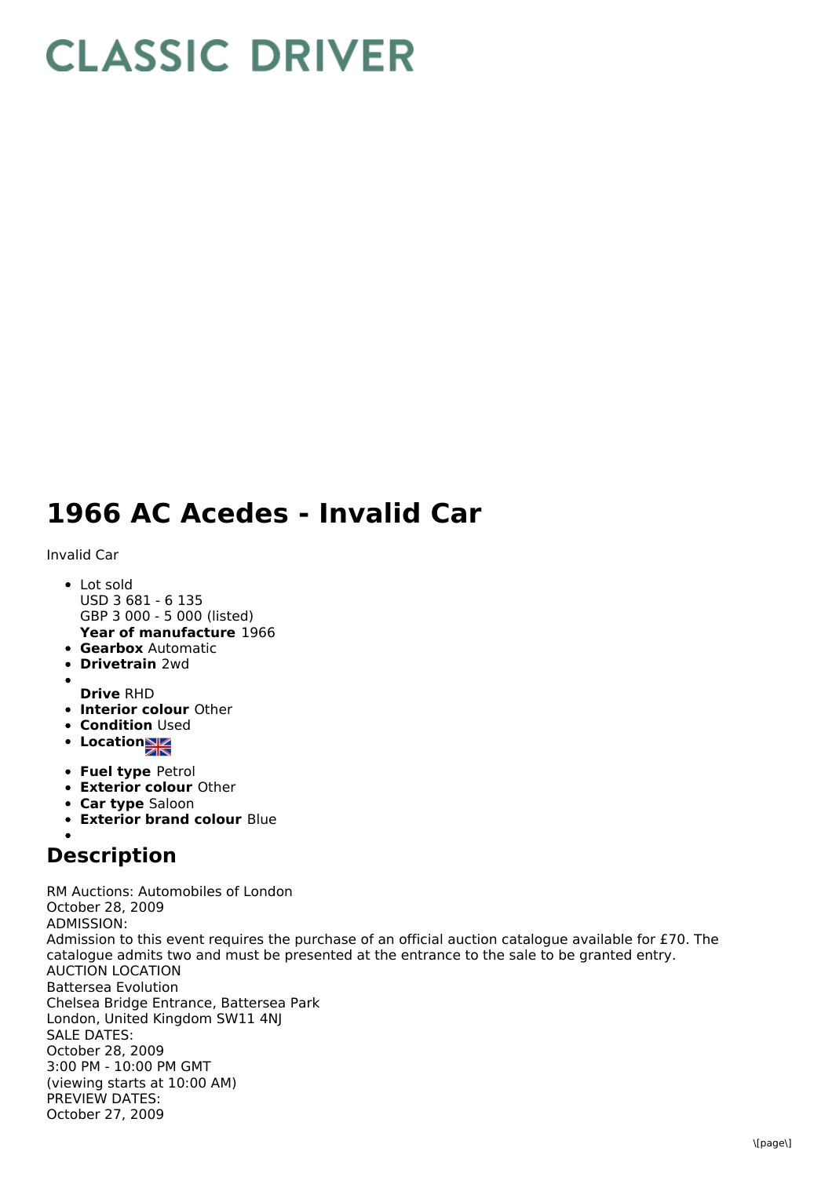## **CLASSIC DRIVER**

## **1966 AC Acedes - Invalid Car**

Invalid Car

- Lot sold USD 3 681 - 6 135 GBP 3 000 - 5 000 (listed)
- **Year of manufacture** 1966 **Gearbox** Automatic
- **Drivetrain** 2wd
- 
- **Drive** RHD
- **Interior colour** Other
- **Condition Used**
- **Location**
- **Fuel type** Petrol
- **Exterior colour** Other
- **Car type** Saloon
- **Exterior brand colour** Blue

## **Description**

RM Auctions: Automobiles of London October 28, 2009 ADMISSION: Admission to this event requires the purchase of an official auction catalogue available for £70. The catalogue admits two and must be presented at the entrance to the sale to be granted entry. AUCTION LOCATION Battersea Evolution Chelsea Bridge Entrance, Battersea Park London, United Kingdom SW11 4NJ SALE DATES: October 28, 2009 3:00 PM - 10:00 PM GMT (viewing starts at 10:00 AM) PREVIEW DATES: October 27, 2009